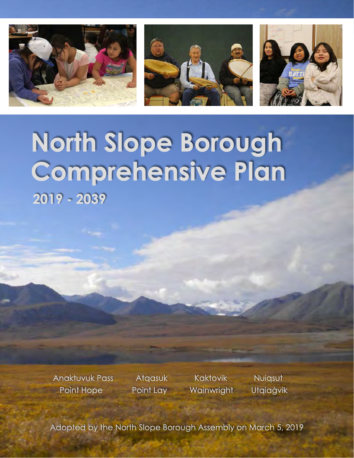

# North Slope Borough **Comprehensive Plan**  $2019 - 2039$

**Anaktuvuk Pass Point Hope** 

Atgasuk Point Lay

**Kaktovik** Wainwright

Nuigsut Utqiaġvik

Adopted by the North Slope Borough Assembly on March 5, 2019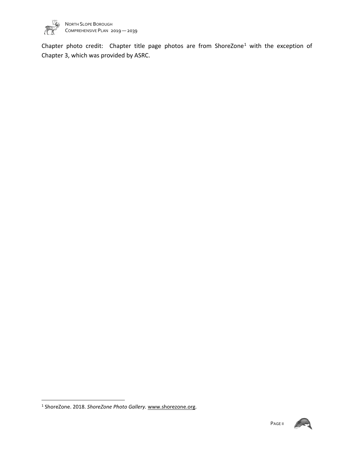

Chapter photo credit: Chapter title page photos are from ShoreZone<sup>1</sup> with the exception of Chapter 3, which was provided by ASRC.

 $\overline{\phantom{a}}$ 



<span id="page-1-0"></span><sup>1</sup> ShoreZone. 2018. *ShoreZone Photo Gallery.* [www.shorezone.org.](http://www.shorezone.org/)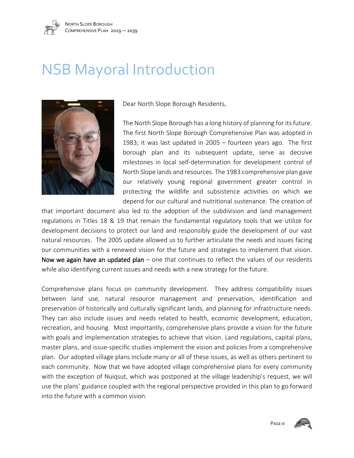

## NSB Mayoral Introduction



Dear North Slope Borough Residents,

The North Slope Borough has a long history of planning for its future. The first North Slope Borough Comprehensive Plan was adopted in 1983; it was last updated in 2005 – fourteen years ago. The first borough plan and its subsequent update, serve as decisive milestones in local self-determination for development control of North Slope lands and resources. The 1983 comprehensive plan gave our relatively young regional government greater control in protecting the wildlife and subsistence activities on which we depend for our cultural and nutritional sustenance. The creation of

that important document also led to the adoption of the subdivision and land management regulations in Titles 18 & 19 that remain the fundamental regulatory tools that we utilize for development decisions to protect our land and responsibly guide the development of our vast natural resources. The 2005 update allowed us to further articulate the needs and issues facing our communities with a renewed vision for the future and strategies to implement that vision. Now we again have an updated plan  $-$  one that continues to reflect the values of our residents while also identifying current issues and needs with a new strategy for the future.

Comprehensive plans focus on community development. They address compatibility issues between land use, natural resource management and preservation, identification and preservation of historically and culturally significant lands, and planning for infrastructure needs. They can also include issues and needs related to health, economic development, education, recreation, and housing. Most importantly, comprehensive plans provide a vision for the future with goals and implementation strategies to achieve that vision. Land regulations, capital plans, master plans, and issue-specific studies implement the vision and policies from a comprehensive plan. Our adopted village plans include many or all of these issues, as well as others pertinent to each community. Now that we have adopted village comprehensive plans for every community with the exception of Nuiqsut, which was postponed at the village leadership's request, we will use the plans' guidance coupled with the regional perspective provided in this plan to go forward into the future with a common vision.

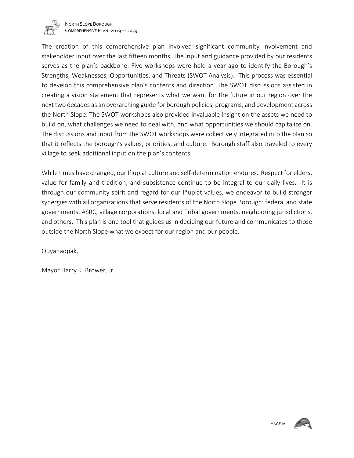

The creation of this comprehensive plan involved significant community involvement and stakeholder input over the last fifteen months. The input and guidance provided by our residents serves as the plan's backbone. Five workshops were held a year ago to identify the Borough's Strengths, Weaknesses, Opportunities, and Threats (SWOT Analysis). This process was essential to develop this comprehensive plan's contents and direction. The SWOT discussions assisted in creating a vision statement that represents what we want for the future in our region over the next two decades as an overarching guide for borough policies, programs, and development across the North Slope. The SWOT workshops also provided invaluable insight on the assets we need to build on, what challenges we need to deal with, and what opportunities we should capitalize on. The discussions and input from the SWOT workshops were collectively integrated into the plan so that it reflects the borough's values, priorities, and culture. Borough staff also traveled to every village to seek additional input on the plan's contents.

While times have changed, our Iñupiat culture and self-determination endures. Respect for elders, value for family and tradition, and subsistence continue to be integral to our daily lives. It is through our community spirit and regard for our Iñupiat values, we endeavor to build stronger synergies with all organizations that serve residents of the North Slope Borough: federal and state governments, ASRC, village corporations, local and Tribal governments, neighboring jurisdictions, and others. This plan is one tool that guides us in deciding our future and communicates to those outside the North Slope what we expect for our region and our people.

Quyanaqpak,

Mayor Harry K. Brower, Jr.

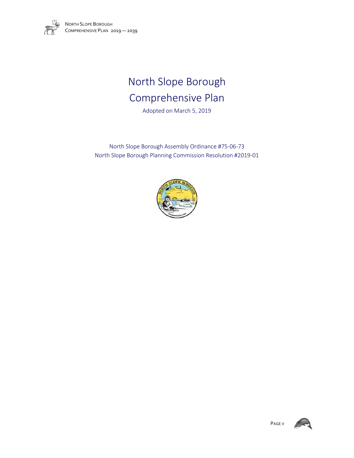

## North Slope Borough Comprehensive Plan

Adopted on March 5, 2019

North Slope Borough Assembly Ordinance #75-06-73 North Slope Borough Planning Commission Resolution #2019-01



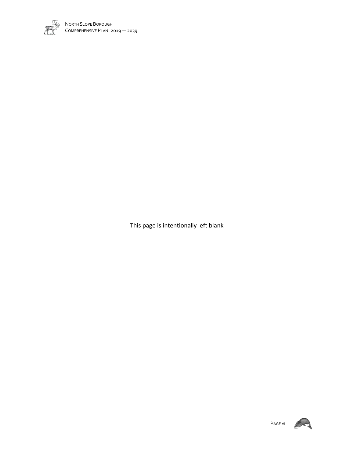

This page is intentionally left blank

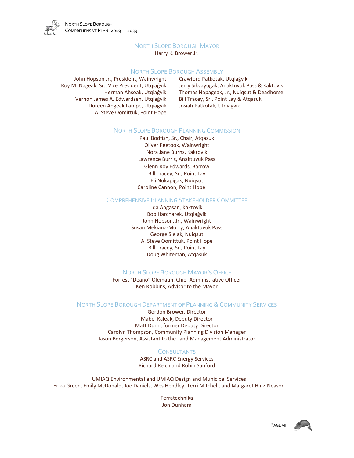

#### NORTH SLOPE BOROUGH MAYOR

Harry K. Brower Jr.

#### NORTH SLOPE BOROUGH ASSEMBLY

John Hopson Jr., President, Wainwright Roy M. Nageak, Sr., Vice President, Utqiaġvik Herman Ahsoak, Utqiaġvik Vernon James A. Edwardsen, Utqiaġvik Doreen Ahgeak Lampe, Utqiaġvik A. Steve Oomittuk, Point Hope

Crawford Patkotak, Utqiaġvik Jerry Sikvayugak, Anaktuvuk Pass & Kaktovik Thomas Napageak, Jr., Nuiqsut & Deadhorse Bill Tracey, Sr., Point Lay & Atqasuk Josiah Patkotak, Utqiaġvik

#### NORTH SLOPE BOROUGH PLANNING COMMISSION

Paul Bodfish, Sr., Chair, Atqasuk Oliver Peetook, Wainwright Nora Jane Burns, Kaktovik Lawrence Burris, Anaktuvuk Pass Glenn Roy Edwards, Barrow Bill Tracey, Sr., Point Lay Eli Nukapigak, Nuiqsut Caroline Cannon, Point Hope

#### COMPREHENSIVE PLANNING STAKEHOLDER COMMITTEE

Ida Angasan, Kaktovik Bob Harcharek, Utqiaġvik John Hopson, Jr., Wainwright Susan Mekiana-Morry, Anaktuvuk Pass George Sielak, Nuiqsut A. Steve Oomittuk, Point Hope Bill Tracey, Sr., Point Lay Doug Whiteman, Atqasuk

#### NORTH SLOPE BOROUGH MAYOR'S OFFICE

Forrest "Deano" Olemaun, Chief Administrative Officer Ken Robbins, Advisor to the Mayor

#### NORTH SLOPE BOROUGH DEPARTMENT OF PLANNING &COMMUNITY SERVICES

Gordon Brower, Director Mabel Kaleak, Deputy Director Matt Dunn, former Deputy Director Carolyn Thompson, Community Planning Division Manager Jason Bergerson, Assistant to the Land Management Administrator

#### **CONSULTANTS**

ASRC and ASRC Energy Services Richard Reich and Robin Sanford

UMIAQ Environmental and UMIAQ Design and Municipal Services Erika Green, Emily McDonald, Joe Daniels, Wes Hendley, Terri Mitchell, and Margaret Hinz-Neason

> Terratechnika Jon Dunham

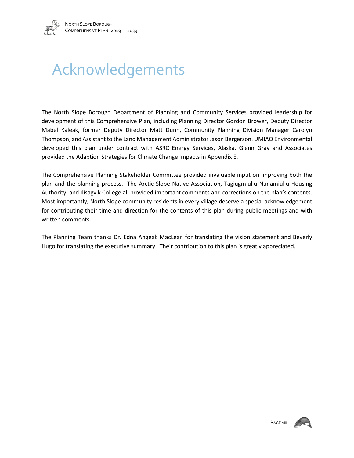

## <span id="page-7-0"></span>Acknowledgements

The North Slope Borough Department of Planning and Community Services provided leadership for development of this Comprehensive Plan, including Planning Director Gordon Brower, Deputy Director Mabel Kaleak, former Deputy Director Matt Dunn, Community Planning Division Manager Carolyn Thompson, and Assistant to the Land Management Administrator Jason Bergerson. UMIAQ Environmental developed this plan under contract with ASRC Energy Services, Alaska. Glenn Gray and Associates provided the Adaption Strategies for Climate Change Impacts in Appendix E.

The Comprehensive Planning Stakeholder Committee provided invaluable input on improving both the plan and the planning process. The Arctic Slope Native Association, Tagiugmiullu Nunamiullu Housing Authority, and Iḷisaġvik College all provided important comments and corrections on the plan's contents. Most importantly, North Slope community residents in every village deserve a special acknowledgement for contributing their time and direction for the contents of this plan during public meetings and with written comments.

The Planning Team thanks Dr. Edna Ahgeak MacLean for translating the vision statement and Beverly Hugo for translating the executive summary. Their contribution to this plan is greatly appreciated.

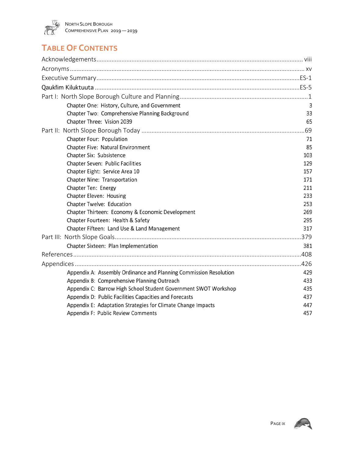

## **TABLE OF CONTENTS**

| Chapter One: History, Culture, and Government                     | 3   |
|-------------------------------------------------------------------|-----|
| Chapter Two: Comprehensive Planning Background                    | 33  |
| Chapter Three: Vision 2039                                        | 65  |
|                                                                   | .69 |
| Chapter Four: Population                                          | 71  |
| Chapter Five: Natural Environment                                 | 85  |
| Chapter Six: Subsistence                                          | 103 |
| Chapter Seven: Public Facilities                                  | 129 |
| Chapter Eight: Service Area 10                                    | 157 |
| Chapter Nine: Transportation                                      | 171 |
| Chapter Ten: Energy                                               | 211 |
| Chapter Eleven: Housing                                           | 233 |
| Chapter Twelve: Education                                         | 253 |
| Chapter Thirteen: Economy & Economic Development                  | 269 |
| Chapter Fourteen: Health & Safety                                 | 295 |
| Chapter Fifteen: Land Use & Land Management                       | 317 |
|                                                                   |     |
| Chapter Sixteen: Plan Implementation                              | 381 |
|                                                                   |     |
|                                                                   |     |
| Appendix A: Assembly Ordinance and Planning Commission Resolution | 429 |
| Appendix B: Comprehensive Planning Outreach                       | 433 |
| Appendix C: Barrow High School Student Government SWOT Workshop   | 435 |
| Appendix D: Public Facilities Capacities and Forecasts            | 437 |
| Appendix E: Adaptation Strategies for Climate Change Impacts      | 447 |
| Appendix F: Public Review Comments                                | 457 |

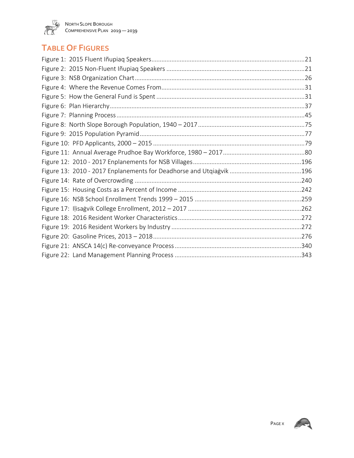

### **TABLE OF FIGURES**

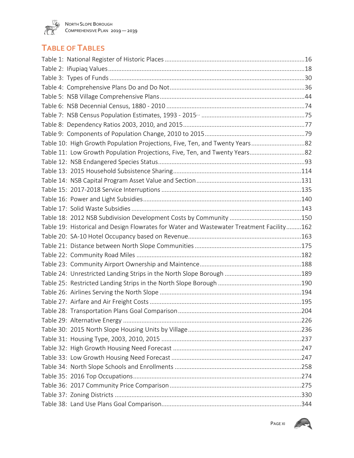

### **TABLE OF TABLES**

| Table 10: High Growth Population Projections, Five, Ten, and Twenty Years82              |  |
|------------------------------------------------------------------------------------------|--|
|                                                                                          |  |
|                                                                                          |  |
|                                                                                          |  |
|                                                                                          |  |
|                                                                                          |  |
|                                                                                          |  |
|                                                                                          |  |
|                                                                                          |  |
| Table 19: Historical and Design Flowrates for Water and Wastewater Treatment Facility162 |  |
|                                                                                          |  |
|                                                                                          |  |
|                                                                                          |  |
|                                                                                          |  |
|                                                                                          |  |
|                                                                                          |  |
|                                                                                          |  |
|                                                                                          |  |
|                                                                                          |  |
|                                                                                          |  |
|                                                                                          |  |
|                                                                                          |  |
|                                                                                          |  |
|                                                                                          |  |
|                                                                                          |  |
|                                                                                          |  |
|                                                                                          |  |
|                                                                                          |  |
|                                                                                          |  |

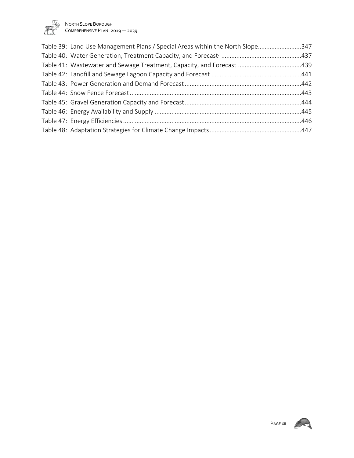

| Table 39: Land Use Management Plans / Special Areas within the North Slope347 |  |
|-------------------------------------------------------------------------------|--|
|                                                                               |  |
| Table 41: Wastewater and Sewage Treatment, Capacity, and Forecast 439         |  |
|                                                                               |  |
|                                                                               |  |
|                                                                               |  |
|                                                                               |  |
|                                                                               |  |
|                                                                               |  |
|                                                                               |  |

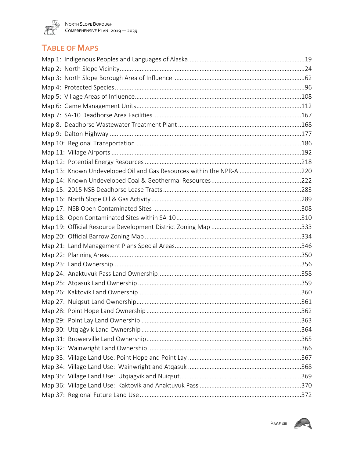

### **TABLE OF MAPS**

| Map 13: Known Undeveloped Oil and Gas Resources within the NPR-A 220 |  |
|----------------------------------------------------------------------|--|
|                                                                      |  |
|                                                                      |  |
|                                                                      |  |
|                                                                      |  |
|                                                                      |  |
|                                                                      |  |
|                                                                      |  |
|                                                                      |  |
|                                                                      |  |
|                                                                      |  |
|                                                                      |  |
|                                                                      |  |
|                                                                      |  |
|                                                                      |  |
|                                                                      |  |
|                                                                      |  |
|                                                                      |  |
|                                                                      |  |
|                                                                      |  |
|                                                                      |  |
|                                                                      |  |
|                                                                      |  |
|                                                                      |  |
|                                                                      |  |

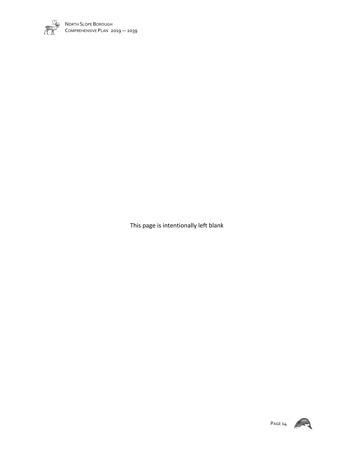

This page is intentionally left blank

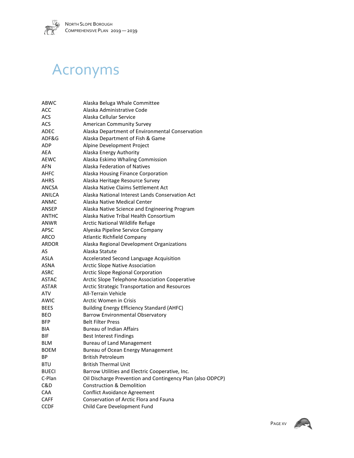

## <span id="page-14-0"></span>Acronyms

| ABWC         | Alaska Beluga Whale Committee                              |
|--------------|------------------------------------------------------------|
| ACC          | Alaska Administrative Code                                 |
| ACS          | Alaska Cellular Service                                    |
| ACS.         | <b>American Community Survey</b>                           |
| <b>ADEC</b>  | Alaska Department of Environmental Conservation            |
| ADF&G        | Alaska Department of Fish & Game                           |
| ADP          | Alpine Development Project                                 |
| AEA          | Alaska Energy Authority                                    |
| <b>AEWC</b>  | Alaska Eskimo Whaling Commission                           |
| <b>AFN</b>   | Alaska Federation of Natives                               |
| AHFC         | Alaska Housing Finance Corporation                         |
| AHRS         | Alaska Heritage Resource Survey                            |
| ANCSA        | Alaska Native Claims Settlement Act                        |
| ANILCA       | Alaska National Interest Lands Conservation Act            |
| ANMC         | Alaska Native Medical Center                               |
| ANSEP        | Alaska Native Science and Engineering Program              |
| ANTHC        | Alaska Native Tribal Health Consortium                     |
| ANWR         | Arctic National Wildlife Refuge                            |
| APSC         | Alyeska Pipeline Service Company                           |
| ARCO         | <b>Atlantic Richfield Company</b>                          |
| ARDOR        | Alaska Regional Development Organizations                  |
| AS           | Alaska Statute                                             |
| <b>ASLA</b>  | Accelerated Second Language Acquisition                    |
| ASNA         | <b>Arctic Slope Native Association</b>                     |
| ASRC         | Arctic Slope Regional Corporation                          |
| ASTAC        | Arctic Slope Telephone Association Cooperative             |
| <b>ASTAR</b> | Arctic Strategic Transportation and Resources              |
| <b>ATV</b>   | All-Terrain Vehicle                                        |
| AWIC         | Arctic Women in Crisis                                     |
| <b>BEES</b>  | <b>Building Energy Efficiency Standard (AHFC)</b>          |
| BEO          | <b>Barrow Environmental Observatory</b>                    |
| BFP          | <b>Belt Filter Press</b>                                   |
| BIA          | <b>Bureau of Indian Affairs</b>                            |
| BIF          | <b>Best Interest Findings</b>                              |
| <b>BLM</b>   | <b>Bureau of Land Management</b>                           |
| <b>BOEM</b>  | Bureau of Ocean Energy Management                          |
| ΒP           | <b>British Petroleum</b>                                   |
| BTU          | <b>British Thermal Unit</b>                                |
| <b>BUECI</b> | Barrow Utilities and Electric Cooperative, Inc.            |
| C-Plan       | Oil Discharge Prevention and Contingency Plan (also ODPCP) |
| C&D          | <b>Construction &amp; Demolition</b>                       |
| CAA          | <b>Conflict Avoidance Agreement</b>                        |
| CAFF         | Conservation of Arctic Flora and Fauna                     |
| <b>CCDF</b>  | Child Care Development Fund                                |
|              |                                                            |

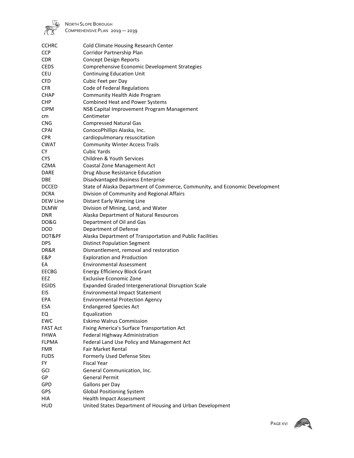

| <b>CCHRC</b>    | <b>Cold Climate Housing Research Center</b>                                 |
|-----------------|-----------------------------------------------------------------------------|
| <b>CCP</b>      | Corridor Partnership Plan                                                   |
| <b>CDR</b>      | <b>Concept Design Reports</b>                                               |
| <b>CEDS</b>     | Comprehensive Economic Development Strategies                               |
| <b>CEU</b>      | <b>Continuing Education Unit</b>                                            |
| <b>CFD</b>      | Cubic Feet per Day                                                          |
| <b>CFR</b>      | Code of Federal Regulations                                                 |
| <b>CHAP</b>     | Community Health Aide Program                                               |
| <b>CHP</b>      | <b>Combined Heat and Power Systems</b>                                      |
| <b>CIPM</b>     | NSB Capital Improvement Program Management                                  |
| cm              | Centimeter                                                                  |
| <b>CNG</b>      | <b>Compressed Natural Gas</b>                                               |
| <b>CPAI</b>     | ConocoPhillips Alaska, Inc.                                                 |
| <b>CPR</b>      | cardiopulmonary resuscitation                                               |
| <b>CWAT</b>     | <b>Community Winter Access Trails</b>                                       |
| <b>CY</b>       | <b>Cubic Yards</b>                                                          |
| <b>CYS</b>      | Children & Youth Services                                                   |
| <b>CZMA</b>     | Coastal Zone Management Act                                                 |
| <b>DARE</b>     | Drug Abuse Resistance Education                                             |
| <b>DBE</b>      | Disadvantaged Business Enterprise                                           |
| <b>DCCED</b>    | State of Alaska Department of Commerce, Community, and Economic Development |
| <b>DCRA</b>     | Division of Community and Regional Affairs                                  |
| DEW Line        | Distant Early Warning Line                                                  |
| <b>DLMW</b>     | Division of Mining, Land, and Water                                         |
| <b>DNR</b>      | Alaska Department of Natural Resources                                      |
| DO&G            | Department of Oil and Gas                                                   |
| <b>DOD</b>      | Department of Defense                                                       |
| DOT&PF          | Alaska Department of Transportation and Public Facilities                   |
| <b>DPS</b>      | <b>Distinct Population Segment</b>                                          |
| DR&R            | Dismantlement, removal and restoration                                      |
| E&P             | <b>Exploration and Production</b>                                           |
| EA              | <b>Environmental Assessment</b>                                             |
| <b>EECBG</b>    | <b>Energy Efficiency Block Grant</b>                                        |
| EEZ             | <b>Exclusive Economic Zone</b>                                              |
| EGIDS           | Expanded Graded Intergenerational Disruption Scale                          |
| EIS             | <b>Environmental Impact Statement</b>                                       |
| EPA             | <b>Environmental Protection Agency</b>                                      |
| <b>ESA</b>      | <b>Endangered Species Act</b>                                               |
| EQ              | Equalization                                                                |
| EWC             | <b>Eskimo Walrus Commission</b>                                             |
| <b>FAST Act</b> | Fixing America's Surface Transportation Act                                 |
| <b>FHWA</b>     | Federal Highway Administration                                              |
| <b>FLPMA</b>    | Federal Land Use Policy and Management Act                                  |
| <b>FMR</b>      | Fair Market Rental                                                          |
| <b>FUDS</b>     | Formerly Used Defense Sites                                                 |
| FY              | <b>Fiscal Year</b>                                                          |
| GCI             | General Communication, Inc.                                                 |
| GP              | <b>General Permit</b>                                                       |
| GPD             | Gallons per Day                                                             |
| GPS             | <b>Global Positioning System</b>                                            |
| <b>HIA</b>      | <b>Health Impact Assessment</b>                                             |
| <b>HUD</b>      | United States Department of Housing and Urban Development                   |
|                 |                                                                             |

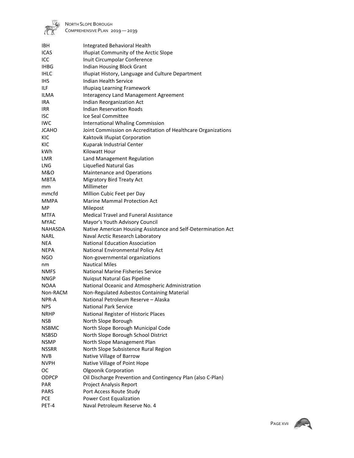

| IBH            | Integrated Behavioral Health                                  |
|----------------|---------------------------------------------------------------|
| <b>ICAS</b>    | Iñupiat Community of the Arctic Slope                         |
| ICC            | Inuit Circumpolar Conference                                  |
| <b>IHBG</b>    | Indian Housing Block Grant                                    |
| <b>IHLC</b>    | Iñupiat History, Language and Culture Department              |
| IHS.           | <b>Indian Health Service</b>                                  |
| ILF            | Iñupiag Learning Framework                                    |
| <b>ILMA</b>    | Interagency Land Management Agreement                         |
| <b>IRA</b>     | Indian Reorganization Act                                     |
| <b>IRR</b>     | Indian Reservation Roads                                      |
| <b>ISC</b>     | Ice Seal Committee                                            |
| <b>IWC</b>     | International Whaling Commission                              |
| <b>JCAHO</b>   | Joint Commission on Accreditation of Healthcare Organizations |
| KIC            | Kaktovik Iñupiat Corporation                                  |
| KIC            | Kuparak Industrial Center                                     |
| kWh            | Kilowatt Hour                                                 |
| LMR            | Land Management Regulation                                    |
| LNG            | Liquefied Natural Gas                                         |
| M&O            | Maintenance and Operations                                    |
| <b>MBTA</b>    | <b>Migratory Bird Treaty Act</b>                              |
| mm             | Millimeter                                                    |
| mmcfd          | Million Cubic Feet per Day                                    |
| <b>MMPA</b>    | <b>Marine Mammal Protection Act</b>                           |
| МP             | Milepost                                                      |
| <b>MTFA</b>    | Medical Travel and Funeral Assistance                         |
| <b>MYAC</b>    | Mayor's Youth Advisory Council                                |
| <b>NAHASDA</b> | Native American Housing Assistance and Self-Determination Act |
| <b>NARL</b>    | Naval Arctic Research Laboratory                              |
| <b>NEA</b>     | <b>National Education Association</b>                         |
| NEPA           | National Environmental Policy Act                             |
| <b>NGO</b>     | Non-governmental organizations                                |
| nm             | <b>Nautical Miles</b>                                         |
| <b>NMFS</b>    | <b>National Marine Fisheries Service</b>                      |
| <b>NNGP</b>    | Nuiqsut Natural Gas Pipeline                                  |
| <b>NOAA</b>    | National Oceanic and Atmospheric Administration               |
| Non-RACM       | Non-Regulated Asbestos Containing Material                    |
| NPR-A          | National Petroleum Reserve - Alaska                           |
| <b>NPS</b>     | <b>National Park Service</b>                                  |
| <b>NRHP</b>    | National Register of Historic Places                          |
| <b>NSB</b>     | North Slope Borough                                           |
| <b>NSBMC</b>   | North Slope Borough Municipal Code                            |
| <b>NSBSD</b>   | North Slope Borough School District                           |
| <b>NSMP</b>    | North Slope Management Plan                                   |
| <b>NSSRR</b>   | North Slope Subsistence Rural Region                          |
| <b>NVB</b>     | Native Village of Barrow                                      |
| <b>NVPH</b>    | Native Village of Point Hope                                  |
| ОC             | <b>Olgoonik Corporation</b>                                   |
| <b>ODPCP</b>   | Oil Discharge Prevention and Contingency Plan (also C-Plan)   |
| <b>PAR</b>     | Project Analysis Report                                       |
| <b>PARS</b>    | Port Access Route Study                                       |
| PCE            | Power Cost Equalization                                       |
| PET-4          | Naval Petroleum Reserve No. 4                                 |